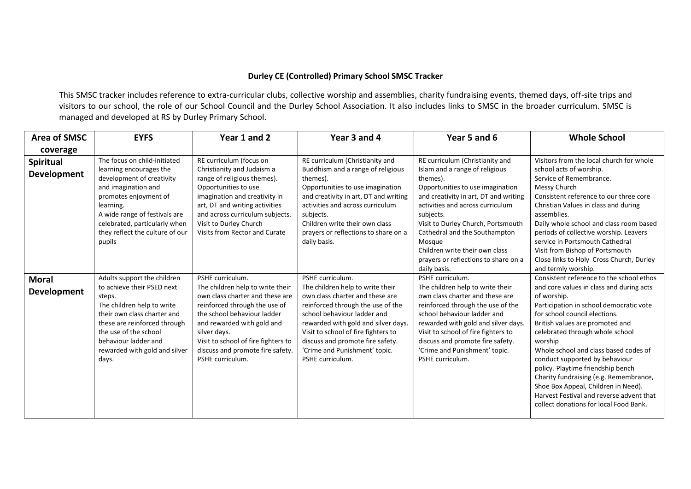## **Durley CE (Controlled) Primary School SMSC Tracker**

This SMSC tracker includes reference to extra-curricular clubs, collective worship and assemblies, charity fundraising events, themed days, off-site trips and visitors to our school, the role of our School Council and the Durley School Association. It also includes links to SMSC in the broader curriculum. SMSC is managed and developed at RS by Durley Primary School.

| <b>Area of SMSC</b>                | <b>EYFS</b>                                                                                                                                                                                                                                                      | Year 1 and 2                                                                                                                                                                                                                                                                                         | Year 3 and 4                                                                                                                                                                                                                                                                                                                       | Year 5 and 6                                                                                                                                                                                                                                                                                                                                                                           | <b>Whole School</b>                                                                                                                                                                                                                                                                                                                                                                                                                                                                                                                                     |
|------------------------------------|------------------------------------------------------------------------------------------------------------------------------------------------------------------------------------------------------------------------------------------------------------------|------------------------------------------------------------------------------------------------------------------------------------------------------------------------------------------------------------------------------------------------------------------------------------------------------|------------------------------------------------------------------------------------------------------------------------------------------------------------------------------------------------------------------------------------------------------------------------------------------------------------------------------------|----------------------------------------------------------------------------------------------------------------------------------------------------------------------------------------------------------------------------------------------------------------------------------------------------------------------------------------------------------------------------------------|---------------------------------------------------------------------------------------------------------------------------------------------------------------------------------------------------------------------------------------------------------------------------------------------------------------------------------------------------------------------------------------------------------------------------------------------------------------------------------------------------------------------------------------------------------|
| coverage                           |                                                                                                                                                                                                                                                                  |                                                                                                                                                                                                                                                                                                      |                                                                                                                                                                                                                                                                                                                                    |                                                                                                                                                                                                                                                                                                                                                                                        |                                                                                                                                                                                                                                                                                                                                                                                                                                                                                                                                                         |
| Spiritual<br><b>Development</b>    | The focus on child-initiated<br>learning encourages the<br>development of creativity<br>and imagination and<br>promotes enjoyment of<br>learning.<br>A wide range of festivals are<br>celebrated, particularly when<br>they reflect the culture of our<br>pupils | RE curriculum (focus on<br>Christianity and Judaism a<br>range of religious themes).<br>Opportunities to use<br>imagination and creativity in<br>art, DT and writing activities<br>and across curriculum subjects.<br>Visit to Durley Church<br>Visits from Rector and Curate                        | RE curriculum (Christianity and<br>Buddhism and a range of religious<br>themes).<br>Opportunities to use imagination<br>and creativity in art, DT and writing<br>activities and across curriculum<br>subjects.<br>Children write their own class<br>prayers or reflections to share on a<br>daily basis.                           | RE curriculum (Christianity and<br>Islam and a range of religious<br>themes).<br>Opportunities to use imagination<br>and creativity in art, DT and writing<br>activities and across curriculum<br>subjects.<br>Visit to Durley Church, Portsmouth<br>Cathedral and the Southampton<br>Mosque<br>Children write their own class<br>prayers or reflections to share on a<br>daily basis. | Visitors from the local church for whole<br>school acts of worship.<br>Service of Remembrance.<br>Messy Church<br>Consistent reference to our three core<br>Christian Values in class and during<br>assemblies.<br>Daily whole school and class room based<br>periods of collective worship. Leavers<br>service in Portsmouth Cathedral<br>Visit from Bishop of Portsmouth<br>Close links to Holy Cross Church, Durley<br>and termly worship.                                                                                                           |
| <b>Moral</b><br><b>Development</b> | Adults support the children<br>to achieve their PSED next<br>steps.<br>The children help to write<br>their own class charter and<br>these are reinforced through<br>the use of the school<br>behaviour ladder and<br>rewarded with gold and silver<br>days.      | PSHE curriculum.<br>The children help to write their<br>own class charter and these are<br>reinforced through the use of<br>the school behaviour ladder<br>and rewarded with gold and<br>silver days.<br>Visit to school of fire fighters to<br>discuss and promote fire safety.<br>PSHE curriculum. | PSHE curriculum.<br>The children help to write their<br>own class charter and these are<br>reinforced through the use of the<br>school behaviour ladder and<br>rewarded with gold and silver days.<br>Visit to school of fire fighters to<br>discuss and promote fire safety.<br>'Crime and Punishment' topic.<br>PSHE curriculum. | PSHE curriculum.<br>The children help to write their<br>own class charter and these are<br>reinforced through the use of the<br>school behaviour ladder and<br>rewarded with gold and silver days.<br>Visit to school of fire fighters to<br>discuss and promote fire safety.<br>'Crime and Punishment' topic.<br>PSHE curriculum.                                                     | Consistent reference to the school ethos<br>and core values in class and during acts<br>of worship.<br>Participation in school democratic vote<br>for school council elections.<br>British values are promoted and<br>celebrated through whole school<br>worship<br>Whole school and class based codes of<br>conduct supported by behaviour<br>policy. Playtime friendship bench<br>Charity fundraising (e.g. Remembrance,<br>Shoe Box Appeal, Children in Need).<br>Harvest Festival and reverse advent that<br>collect donations for local Food Bank. |